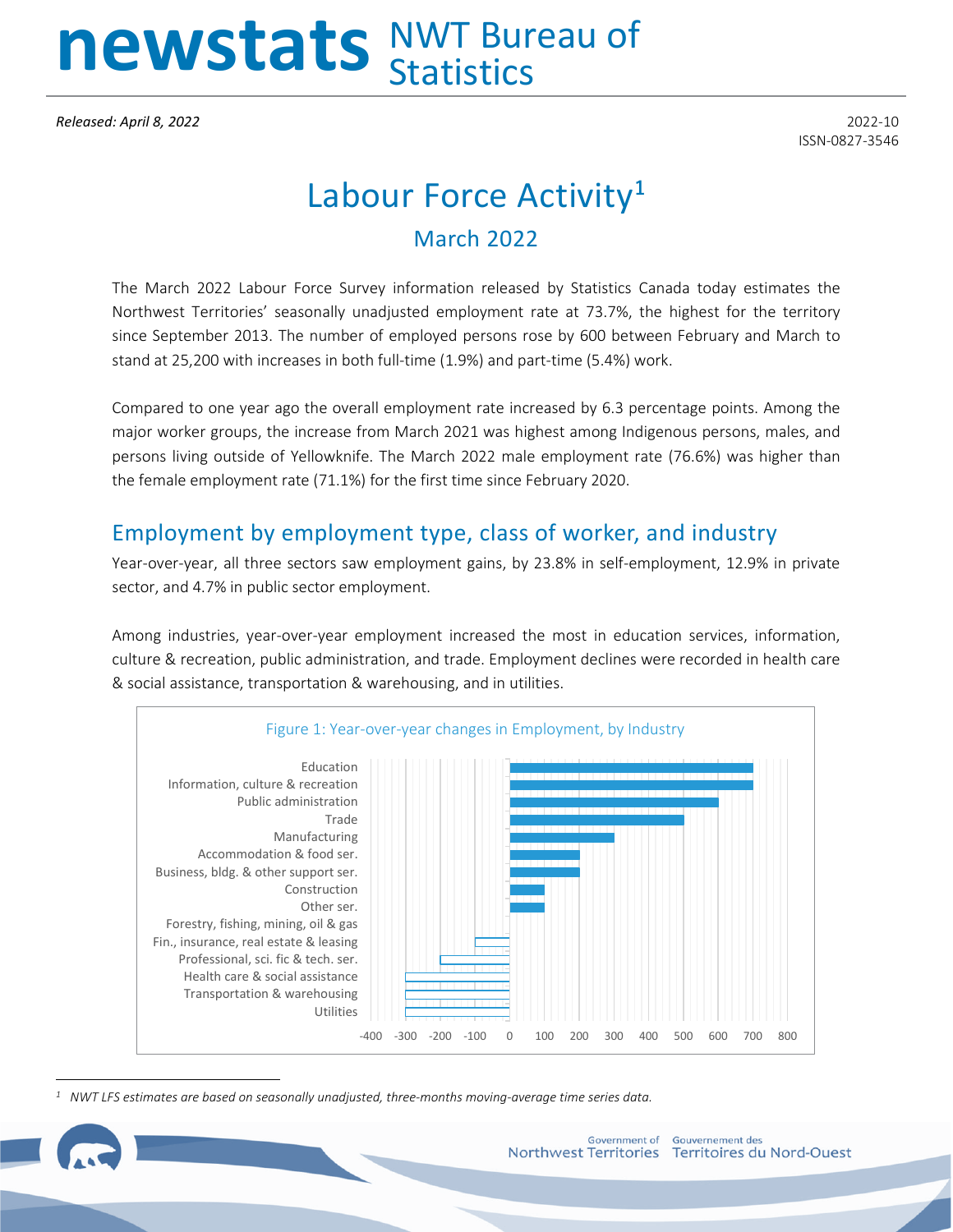# newstats NWT Bureau of

*Released: April 8, 2022* 2022-10

ISSN-0827-3546

# Labour Force Activity**[1](#page-0-0)** March 2022

The March 2022 Labour Force Survey information released by Statistics Canada today estimates the Northwest Territories' seasonally unadjusted employment rate at 73.7%, the highest for the territory since September 2013. The number of employed persons rose by 600 between February and March to stand at 25,200 with increases in both full-time (1.9%) and part-time (5.4%) work.

Compared to one year ago the overall employment rate increased by 6.3 percentage points. Among the major worker groups, the increase from March 2021 was highest among Indigenous persons, males, and persons living outside of Yellowknife. The March 2022 male employment rate (76.6%) was higher than the female employment rate (71.1%) for the first time since February 2020.

## Employment by employment type, class of worker, and industry

Year-over-year, all three sectors saw employment gains, by 23.8% in self-employment, 12.9% in private sector, and 4.7% in public sector employment.

Among industries, year-over-year employment increased the most in education services, information, culture & recreation, public administration, and trade. Employment declines were recorded in health care & social assistance, transportation & warehousing, and in utilities.



<span id="page-0-0"></span>*1 NWT LFS estimates are based on seasonally unadjusted, three-months moving-average time series data.*